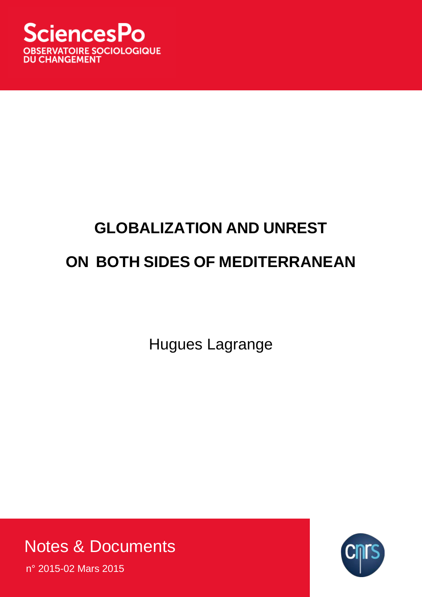

# **GLOBALIZATION AND UNREST ON BOTH SIDES OF MEDITERRANEAN**

Hugues Lagrange

Notes & Documents

n° 2015-02 Mars 2015

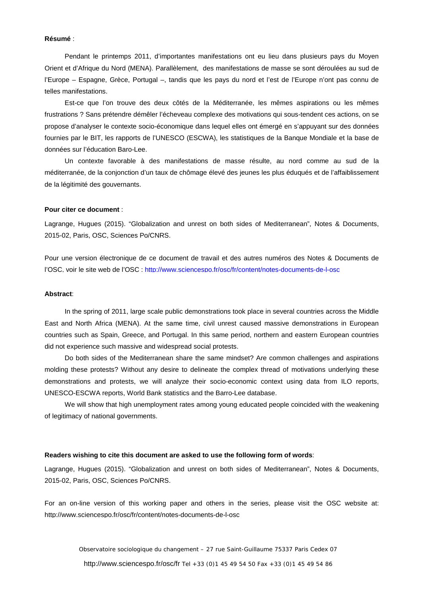#### **Résumé** :

Pendant le printemps 2011, d'importantes manifestations ont eu lieu dans plusieurs pays du Moyen Orient et d'Afrique du Nord (MENA). Parallèlement, des manifestations de masse se sont déroulées au sud de l'Europe – Espagne, Grèce, Portugal –, tandis que les pays du nord et l'est de l'Europe n'ont pas connu de telles manifestations.

Est-ce que l'on trouve des deux côtés de la Méditerranée, les mêmes aspirations ou les mêmes frustrations ? Sans prétendre démêler l'écheveau complexe des motivations qui sous-tendent ces actions, on se propose d'analyser le contexte socio-économique dans lequel elles ont émergé en s'appuyant sur des données fournies par le BIT, les rapports de l'UNESCO (ESCWA), les statistiques de la Banque Mondiale et la base de données sur l'éducation Baro-Lee.

Un contexte favorable à des manifestations de masse résulte, au nord comme au sud de la méditerranée, de la conjonction d'un taux de chômage élevé des jeunes les plus éduqués et de l'affaiblissement de la légitimité des gouvernants.

#### **Pour citer ce document** :

Lagrange, Hugues (2015). "Globalization and unrest on both sides of Mediterranean", Notes & Documents, 2015-02, Paris, OSC, Sciences Po/CNRS.

Pour une version électronique de ce document de travail et des autres numéros des Notes & Documents de l'OSC, voir le site web de l'OSC :<http://www.sciencespo.fr/osc/fr/content/notes-documents-de-l-osc>

#### **Abstract**:

In the spring of 2011, large scale public demonstrations took place in several countries across the Middle East and North Africa (MENA). At the same time, civil unrest caused massive demonstrations in European countries such as Spain, Greece, and Portugal. In this same period, northern and eastern European countries did not experience such massive and widespread social protests.

Do both sides of the Mediterranean share the same mindset? Are common challenges and aspirations molding these protests? Without any desire to delineate the complex thread of motivations underlying these demonstrations and protests, we will analyze their socio-economic context using data from ILO reports, UNESCO-ESCWA reports, World Bank statistics and the Barro-Lee database.

We will show that high unemployment rates among young educated people coincided with the weakening of legitimacy of national governments.

#### **Readers wishing to cite this document are asked to use the following form of words**:

Lagrange, Hugues (2015). "Globalization and unrest on both sides of Mediterranean", Notes & Documents, 2015-02, Paris, OSC, Sciences Po/CNRS.

For an on-line version of this working paper and others in the series, please visit the OSC website at: http://www.sciencespo.fr/osc/fr/content/notes-documents-de-l-osc

> Observatoire sociologique du changement – 27 rue Saint-Guillaume 75337 Paris Cedex 07 http://www.sciencespo.fr/osc/fr Tel +33 (0)1 45 49 54 50 Fax +33 (0)1 45 49 54 86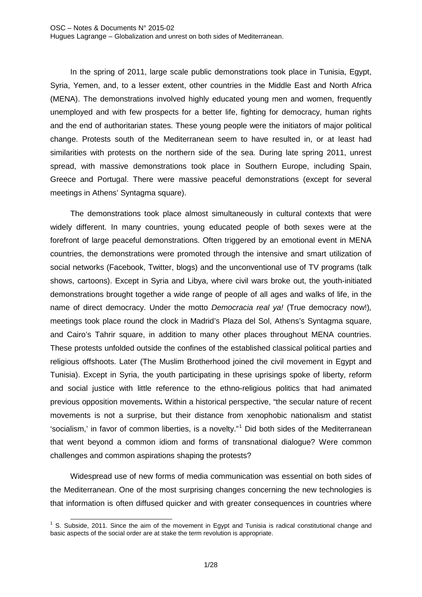In the spring of 2011, large scale public demonstrations took place in Tunisia, Egypt, Syria, Yemen, and, to a lesser extent, other countries in the Middle East and North Africa (MENA). The demonstrations involved highly educated young men and women, frequently unemployed and with few prospects for a better life, fighting for democracy, human rights and the end of authoritarian states. These young people were the initiators of major political change. Protests south of the Mediterranean seem to have resulted in, or at least had similarities with protests on the northern side of the sea. During late spring 2011, unrest spread, with massive demonstrations took place in Southern Europe, including Spain, Greece and Portugal. There were massive peaceful demonstrations (except for several meetings in Athens' Syntagma square).

The demonstrations took place almost simultaneously in cultural contexts that were widely different. In many countries, young educated people of both sexes were at the forefront of large peaceful demonstrations. Often triggered by an emotional event in MENA countries, the demonstrations were promoted through the intensive and smart utilization of social networks (Facebook, Twitter, blogs) and the unconventional use of TV programs (talk shows, cartoons). Except in Syria and Libya, where civil wars broke out, the youth-initiated demonstrations brought together a wide range of people of all ages and walks of life, in the name of direct democracy. Under the motto *Democracia real ya!* (True democracy now!)*,* meetings took place round the clock in Madrid's Plaza del Sol, Athens's Syntagma square, and Cairo's Tahrir square, in addition to many other places throughout MENA countries. These protests unfolded outside the confines of the established classical political parties and religious offshoots. Later (The Muslim Brotherhood joined the civil movement in Egypt and Tunisia). Except in Syria, the youth participating in these uprisings spoke of liberty, reform and social justice with little reference to the ethno-religious politics that had animated previous opposition movements**.** Within a historical perspective, "the secular nature of recent movements is not a surprise, but their distance from xenophobic nationalism and statist 'socialism,' in favor of common liberties, is a novelty."[1](#page-2-0) Did both sides of the Mediterranean that went beyond a common idiom and forms of transnational dialogue? Were common challenges and common aspirations shaping the protests?

Widespread use of new forms of media communication was essential on both sides of the Mediterranean. One of the most surprising changes concerning the new technologies is that information is often diffused quicker and with greater consequences in countries where

<span id="page-2-0"></span> $1$  S. Subside, 2011. Since the aim of the movement in Egypt and Tunisia is radical constitutional change and basic aspects of the social order are at stake the term revolution is appropriate. 1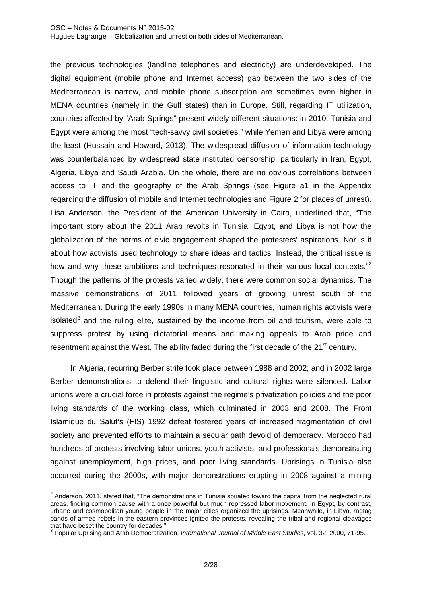### OSC – Notes & Documents N° 2015-02

-

Hugues Lagrange – Globalization and unrest on both sides of Mediterranean.

the previous technologies (landline telephones and electricity) are underdeveloped. The digital equipment (mobile phone and Internet access) gap between the two sides of the Mediterranean is narrow, and mobile phone subscription are sometimes even higher in MENA countries (namely in the Gulf states) than in Europe. Still, regarding IT utilization, countries affected by "Arab Springs" present widely different situations: in 2010, Tunisia and Egypt were among the most "tech-savvy civil societies," while Yemen and Libya were among the least (Hussain and Howard, 2013). The widespread diffusion of information technology was counterbalanced by widespread state instituted censorship, particularly in Iran, Egypt, Algeria, Libya and Saudi Arabia. On the whole, there are no obvious correlations between access to IT and the geography of the Arab Springs (see Figure a1 in the Appendix regarding the diffusion of mobile and Internet technologies and Figure 2 for places of unrest). Lisa Anderson, the President of the American University in Cairo, underlined that, "The important story about the 2011 Arab revolts in Tunisia, Egypt, and Libya is not how the globalization of the norms of civic engagement shaped the protesters' aspirations. Nor is it about how activists used technology to share ideas and tactics. Instead, the critical issue is how and why these ambitions and techniques resonated in their various local contexts."<sup>[2](#page-3-0)</sup> Though the patterns of the protests varied widely, there were common social dynamics. The massive demonstrations of 2011 followed years of growing unrest south of the Mediterranean. During the early 1990s in many MENA countries, human rights activists were isolated<sup>[3](#page-3-1)</sup> and the ruling elite, sustained by the income from oil and tourism, were able to suppress protest by using dictatorial means and making appeals to Arab pride and resentment against the West. The ability faded during the first decade of the  $21<sup>st</sup>$  century.

In Algeria, recurring Berber strife took place between 1988 and 2002; and in 2002 large Berber demonstrations to defend their linguistic and cultural rights were silenced. Labor unions were a crucial force in protests against the regime's privatization policies and the poor living standards of the working class, which culminated in 2003 and 2008. The Front Islamique du Salut's (FIS) 1992 defeat fostered years of increased fragmentation of civil society and prevented efforts to maintain a secular path devoid of democracy. Morocco had [hundreds of protests](http://carnegieendowment.org/publications/?fa=view&id=42394) involving labor unions, youth activists, and professionals demonstrating against unemployment, high prices, and poor living standards. [Uprisings in Tunisia](http://carnegieendowment.org/publications/?fa=view&id=42394) also occurred during the 2000s, with major demonstrations erupting in 2008 against a mining

<span id="page-3-0"></span> $2$  Anderson, 2011, stated that, "The demonstrations in Tunisia spiraled toward the capital from the neglected rural areas, finding common cause with a once powerful but much repressed labor movement. In Egypt, by contrast, urbane and cosmopolitan young people in the major cities organized the uprisings. Meanwhile, in Libya, ragtag bands of armed rebels in the eastern provinces ignited the protests, revealing the tribal and regional cleavages that have beset the country for decades."

<span id="page-3-1"></span><sup>3</sup> Popular Uprising and Arab Democratization, *International Journal of Middle East Studies*, vol. 32, 2000, 71-95.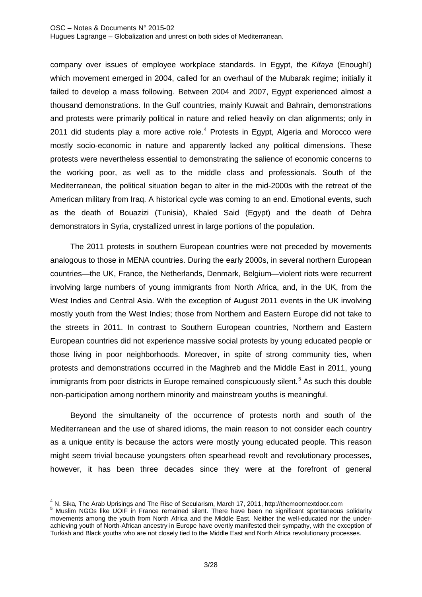company over issues of employee workplace standards. In Egypt, the *Kifaya* (Enough!) which movement emerged in 2004, called for an overhaul of the Mubarak regime; initially it failed to develop a mass following. Between 2004 and 2007, Egypt experienced [almost a](http://carnegieendowment.org/publications/?fa=view&id=42394)  [thousand demonstrations.](http://carnegieendowment.org/publications/?fa=view&id=42394) In the Gulf countries, mainly Kuwait and Bahrain, demonstrations and protests were primarily political in nature and relied heavily on clan alignments; only in 2011 did students play a more active role.<sup>[4](#page-4-0)</sup> Protests in Egypt, Algeria and Morocco were mostly socio-economic in nature and apparently lacked any political dimensions. These protests were nevertheless essential to demonstrating the salience of economic concerns to the working poor, as well as to the middle class and professionals. South of the Mediterranean, the political situation began to alter in the mid-2000s with the retreat of the American military from Iraq. A historical cycle was coming to an end. Emotional events, such as the death of Bouazizi (Tunisia), Khaled Said (Egypt) and the death of Dehra demonstrators in Syria, crystallized unrest in large portions of the population.

The 2011 protests in southern European countries were not preceded by movements analogous to those in MENA countries. During the early 2000s, in several northern European countries—the UK, France, the Netherlands, Denmark, Belgium—violent riots were recurrent involving large numbers of young immigrants from North Africa, and, in the UK, from the West Indies and Central Asia. With the exception of August 2011 events in the UK involving mostly youth from the West Indies; those from Northern and Eastern Europe did not take to the streets in 2011. In contrast to Southern European countries, Northern and Eastern European countries did not experience massive social protests by young educated people or those living in poor neighborhoods. Moreover, in spite of strong community ties, when protests and demonstrations occurred in the Maghreb and the Middle East in 2011, young immigrants from poor districts in Europe remained conspicuously silent.<sup>[5](#page-4-1)</sup> As such this double non-participation among northern minority and mainstream youths is meaningful.

Beyond the simultaneity of the occurrence of protests north and south of the Mediterranean and the use of shared idioms, the main reason to not consider each country as a unique entity is because the actors were mostly young educated people. This reason might seem trivial because youngsters often spearhead revolt and revolutionary processes, however, it has been three decades since they were at the forefront of general

<span id="page-4-0"></span><sup>&</sup>lt;sup>4</sup> N. Sika. The Arab Uprisings and The Rise of Secularism, March 17, 2011, http://themoornextdoor.com

<span id="page-4-1"></span><sup>&</sup>lt;sup>5</sup> Muslim NGOs like UOIF in France remained silent. There have been no significant spontaneous solidarity movements among the youth from North Africa and the Middle East. Neither the well-educated nor the underachieving youth of North-African ancestry in Europe have overtly manifested their sympathy, with the exception of Turkish and Black youths who are not closely tied to the Middle East and North Africa revolutionary processes.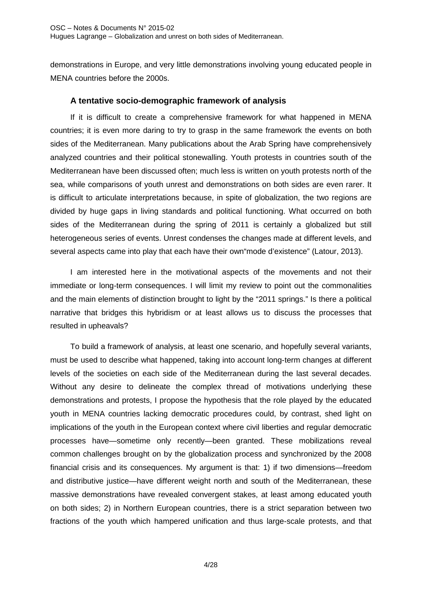demonstrations in Europe, and very little demonstrations involving young educated people in MENA countries before the 2000s.

## **A tentative socio-demographic framework of analysis**

If it is difficult to create a comprehensive framework for what happened in MENA countries; it is even more daring to try to grasp in the same framework the events on both sides of the Mediterranean. Many publications about the Arab Spring have comprehensively analyzed countries and their political stonewalling. Youth protests in countries south of the Mediterranean have been discussed often; much less is written on youth protests north of the sea, while comparisons of youth unrest and demonstrations on both sides are even rarer. It is difficult to articulate interpretations because, in spite of globalization, the two regions are divided by huge gaps in living standards and political functioning. What occurred on both sides of the Mediterranean during the spring of 2011 is certainly a globalized but still heterogeneous series of events. Unrest condenses the changes made at different levels, and several aspects came into play that each have their own"mode d'existence" (Latour, 2013).

I am interested here in the motivational aspects of the movements and not their immediate or long-term consequences. I will limit my review to point out the commonalities and the main elements of distinction brought to light by the "2011 springs." Is there a political narrative that bridges this hybridism or at least allows us to discuss the processes that resulted in upheavals?

To build a framework of analysis, at least one scenario, and hopefully several variants, must be used to describe what happened, taking into account long-term changes at different levels of the societies on each side of the Mediterranean during the last several decades. Without any desire to delineate the complex thread of motivations underlying these demonstrations and protests, I propose the hypothesis that the role played by the educated youth in MENA countries lacking democratic procedures could, by contrast, shed light on implications of the youth in the European context where civil liberties and regular democratic processes have—sometime only recently—been granted. These mobilizations reveal common challenges brought on by the globalization process and synchronized by the 2008 financial crisis and its consequences. My argument is that: 1) if two dimensions—freedom and distributive justice—have different weight north and south of the Mediterranean, these massive demonstrations have revealed convergent stakes, at least among educated youth on both sides; 2) in Northern European countries, there is a strict separation between two fractions of the youth which hampered unification and thus large-scale protests, and that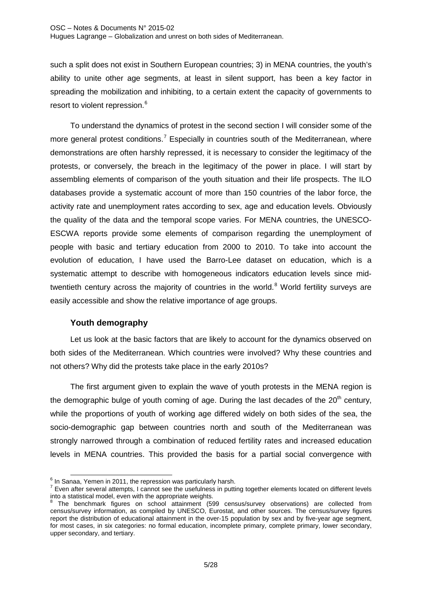such a split does not exist in Southern European countries; 3) in MENA countries, the youth's ability to unite other age segments, at least in silent support, has been a key factor in spreading the mobilization and inhibiting, to a certain extent the capacity of governments to resort to violent repression.<sup>[6](#page-6-0)</sup>

To understand the dynamics of protest in the second section I will consider some of the more general protest conditions.<sup>[7](#page-6-1)</sup> Especially in countries south of the Mediterranean, where demonstrations are often harshly repressed, it is necessary to consider the legitimacy of the protests, or conversely, the breach in the legitimacy of the power in place. I will start by assembling elements of comparison of the youth situation and their life prospects. The ILO databases provide a systematic account of more than 150 countries of the labor force, the activity rate and unemployment rates according to sex, age and education levels. Obviously the quality of the data and the temporal scope varies. For MENA countries, the UNESCO-ESCWA reports provide some elements of comparison regarding the unemployment of people with basic and tertiary education from 2000 to 2010. To take into account the evolution of education, I have used the Barro-Lee dataset on education, which is a systematic attempt to describe with homogeneous indicators education levels since mid-twentieth century across the majority of countries in the world.<sup>[8](#page-6-2)</sup> World fertility surveys are easily accessible and show the relative importance of age groups.

# **Youth demography**

Let us look at the basic factors that are likely to account for the dynamics observed on both sides of the Mediterranean. Which countries were involved? Why these countries and not others? Why did the protests take place in the early 2010s?

The first argument given to explain the wave of youth protests in the MENA region is the demographic bulge of youth coming of age. During the last decades of the  $20<sup>th</sup>$  century, while the proportions of youth of working age differed widely on both sides of the sea, the socio-demographic gap between countries north and south of the Mediterranean was strongly narrowed through a combination of reduced fertility rates and increased education levels in MENA countries. This provided the basis for a partial social convergence with

 $<sup>6</sup>$  In Sanaa. Yemen in 2011, the repression was particularly harsh.</sup>

<span id="page-6-1"></span><span id="page-6-0"></span>Figures after several attempts, I cannot see the usefulness in putting together elements located on different levels<br>into a statistical model, even with the appropriate weights.

<span id="page-6-2"></span>The benchmark figures on school attainment (599 census/survey observations) are collected from census/survey information, as compiled by UNESCO, Eurostat, and other sources. The census/survey figures report the distribution of educational attainment in the over-15 population by sex and by five-year age segment, for most cases, in six categories: no formal education, incomplete primary, complete primary, lower secondary, upper secondary, and tertiary.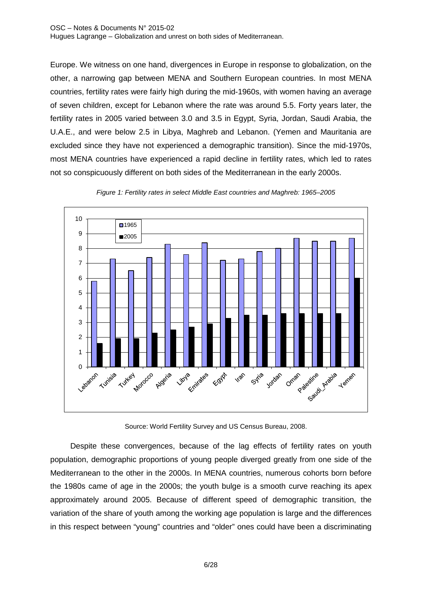#### OSC – Notes & Documents N° 2015-02 Hugues Lagrange – Globalization and unrest on both sides of Mediterranean.

Europe. We witness on one hand, divergences in Europe in response to globalization, on the other, a narrowing gap between MENA and Southern European countries. In most MENA countries, fertility rates were fairly high during the mid-1960s, with women having an average of seven children, except for Lebanon where the rate was around 5.5. Forty years later, the fertility rates in 2005 varied between 3.0 and 3.5 in Egypt, Syria, Jordan, Saudi Arabia, the U.A.E., and were below 2.5 in Libya, Maghreb and Lebanon. (Yemen and Mauritania are excluded since they have not experienced a demographic transition). Since the mid-1970s, most MENA countries have experienced a rapid decline in fertility rates, which led to rates not so conspicuously different on both sides of the Mediterranean in the early 2000s.





Source: World Fertility Survey and US Census Bureau, 2008.

Despite these convergences, because of the lag effects of fertility rates on youth population, demographic proportions of young people diverged greatly from one side of the Mediterranean to the other in the 2000s. In MENA countries, numerous cohorts born before the 1980s came of age in the 2000s; the youth bulge is a smooth curve reaching its apex approximately around 2005. Because of different speed of demographic transition, the variation of the share of youth among the working age population is large and the differences in this respect between "young" countries and "older" ones could have been a discriminating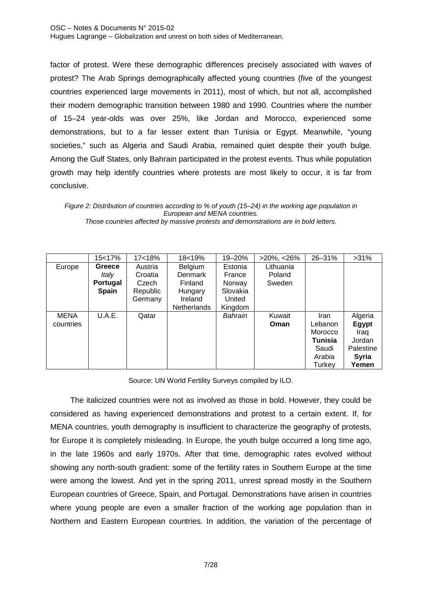factor of protest. Were these demographic differences precisely associated with waves of protest? The Arab Springs demographically affected young countries (five of the youngest countries experienced large movements in 2011), most of which, but not all, accomplished their modern demographic transition between 1980 and 1990. Countries where the number of 15–24 year-olds was over 25%, like Jordan and Morocco, experienced some demonstrations, but to a far lesser extent than Tunisia or Egypt. Meanwhile, "young societies," such as Algeria and Saudi Arabia, remained quiet despite their youth bulge. Among the Gulf States, only Bahrain participated in the protest events. Thus while population growth may help identify countries where protests are most likely to occur, it is far from conclusive.

*Those countries affected by massive protests and demonstrations are in bold letters.*

|             | 15<17%       | 17<18%   | 18<19%             | 19-20%   | $>20\%$ , $<26\%$ | 26-31%      | $>31\%$      |
|-------------|--------------|----------|--------------------|----------|-------------------|-------------|--------------|
| Europe      | Greece       | Austria  | Belgium            | Estonia  | Lithuania         |             |              |
|             | Italy        | Croatia  | Denmark            | France   | Poland            |             |              |
|             | Portugal     | Czech    | <b>Finland</b>     | Norway   | Sweden            |             |              |
|             | <b>Spain</b> | Republic | Hungary            | Slovakia |                   |             |              |
|             |              | Germany  | Ireland            | United   |                   |             |              |
|             |              |          | <b>Netherlands</b> | Kingdom  |                   |             |              |
| <b>MENA</b> | U.A.E.       | Qatar    |                    | Bahrain  | Kuwait            | <b>Iran</b> | Algeria      |
| countries   |              |          |                    |          | Oman              | Lebanon     | Egypt        |
|             |              |          |                    |          |                   | Morocco     | Iraq         |
|             |              |          |                    |          |                   | Tunisia     | Jordan       |
|             |              |          |                    |          |                   | Saudi       | Palestine    |
|             |              |          |                    |          |                   | Arabia      | <b>Syria</b> |
|             |              |          |                    |          |                   | Turkev      | Yemen        |

Source: UN World Fertility Surveys compiled by ILO.

The italicized countries were not as involved as those in bold. However, they could be considered as having experienced demonstrations and protest to a certain extent. If, for MENA countries, youth demography is insufficient to characterize the geography of protests, for Europe it is completely misleading. In Europe, the youth bulge occurred a long time ago, in the late 1960s and early 1970s. After that time, demographic rates evolved without showing any north-south gradient: some of the fertility rates in Southern Europe at the time were among the lowest. And yet in the spring 2011, unrest spread mostly in the Southern European countries of Greece, Spain, and Portugal. Demonstrations have arisen in countries where young people are even a smaller fraction of the working age population than in Northern and Eastern European countries. In addition, the variation of the percentage of

*Figure 2: Distribution of countries according to % of youth (15–24) in the working age population in European and MENA countries.*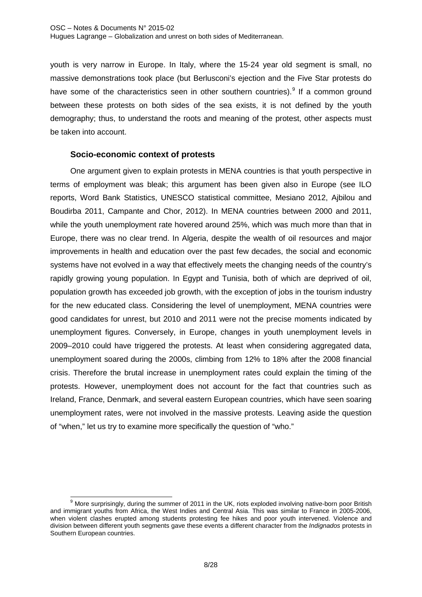youth is very narrow in Europe. In Italy, where the 15-24 year old segment is small, no massive demonstrations took place (but Berlusconi's ejection and the Five Star protests do have some of the characteristics seen in other southern countries).<sup>[9](#page-9-0)</sup> If a common ground between these protests on both sides of the sea exists, it is not defined by the youth demography; thus, to understand the roots and meaning of the protest, other aspects must be taken into account.

## **Socio-economic context of protests**

One argument given to explain protests in MENA countries is that youth perspective in terms of employment was bleak; this argument has been given also in Europe (see ILO reports, Word Bank Statistics, UNESCO statistical committee, Mesiano 2012, Ajbilou and Boudirba 2011, Campante and Chor, 2012). In MENA countries between 2000 and 2011, while the youth unemployment rate hovered around 25%, which was much more than that in Europe, there was no clear trend. In Algeria, despite the wealth of oil resources and major improvements in health and education over the past few decades, the social and economic systems have not evolved in a way that effectively meets the changing needs of the country's rapidly growing young population. In Egypt and Tunisia, both of which are deprived of oil, population growth has exceeded job growth, with the exception of jobs in the tourism industry for the new educated class. Considering the level of unemployment, MENA countries were good candidates for unrest, but 2010 and 2011 were not the precise moments indicated by unemployment figures. Conversely, in Europe, changes in youth unemployment levels in 2009–2010 could have triggered the protests. At least when considering aggregated data, unemployment soared during the 2000s, climbing from 12% to 18% after the 2008 financial crisis. Therefore the brutal increase in unemployment rates could explain the timing of the protests. However, unemployment does not account for the fact that countries such as Ireland, France, Denmark, and several eastern European countries, which have seen soaring unemployment rates, were not involved in the massive protests. Leaving aside the question of "when," let us try to examine more specifically the question of "who."

<span id="page-9-0"></span><sup>&</sup>lt;sup>9</sup> More surprisingly, during the summer of 2011 in the UK, riots exploded involving native-born poor British and immigrant youths from Africa, the West Indies and Central Asia. This was similar to France in 2005-2006, when violent clashes erupted among students protesting fee hikes and poor youth intervened. Violence and division between different youth segments gave these events a different character from the *Indignados* protests in Southern European countries.  $\overline{a}$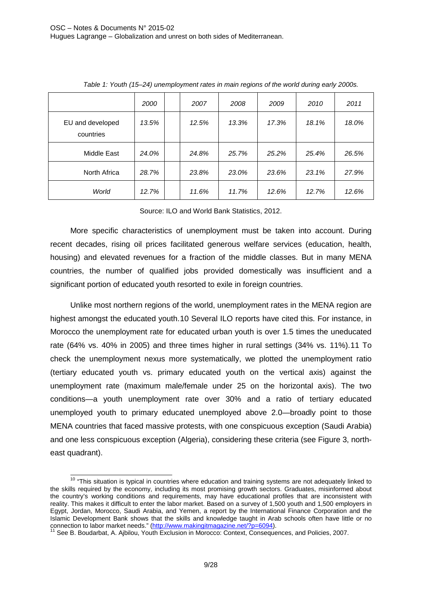|                               | 2000  | 2007  | 2008  | 2009  | 2010  | 2011  |
|-------------------------------|-------|-------|-------|-------|-------|-------|
| EU and developed<br>countries | 13.5% | 12.5% | 13.3% | 17.3% | 18.1% | 18.0% |
| Middle East                   | 24.0% | 24.8% | 25.7% | 25.2% | 25.4% | 26.5% |
| North Africa                  | 28.7% | 23.8% | 23.0% | 23.6% | 23.1% | 27.9% |
| World                         | 12.7% | 11.6% | 11.7% | 12.6% | 12.7% | 12.6% |

*Table 1: Youth (15–24) unemployment rates in main regions of the world during early 2000s.*

Source: ILO and World Bank Statistics, 2012.

More specific characteristics of unemployment must be taken into account. During recent decades, rising oil prices facilitated generous welfare services (education, health, housing) and elevated revenues for a fraction of the middle classes. But in many MENA countries, the number of qualified jobs provided domestically was insufficient and a significant portion of educated youth resorted to exile in foreign countries.

Unlike most northern regions of the world, unemployment rates in the MENA region are highest amongst the educated youth.[10](#page-10-0) Several ILO reports have cited this. For instance, in Morocco the unemployment rate for educated urban youth is over 1.5 times the uneducated rate (64% vs. 40% in 2005) and three times higher in rural settings (34% vs. 11%).[11](#page-10-1) To check the unemployment nexus more systematically, we plotted the unemployment ratio (tertiary educated youth vs. primary educated youth on the vertical axis) against the unemployment rate (maximum male/female under 25 on the horizontal axis). The two conditions—a youth unemployment rate over 30% and a ratio of tertiary educated unemployed youth to primary educated unemployed above 2.0—broadly point to those MENA countries that faced massive protests, with one conspicuous exception (Saudi Arabia) and one less conspicuous exception (Algeria), considering these criteria (see Figure 3, northeast quadrant).

<span id="page-10-0"></span><sup>&</sup>lt;sup>10</sup> "This situation is typical in countries where education and training systems are not adequately linked to the skills required by the economy, including its most promising growth sectors. Graduates, misinformed about the country's working conditions and requirements, may have educational profiles that are inconsistent with reality. This makes it difficult to enter the labor market. Based on a survey of 1,500 youth and 1,500 employers in Egypt, Jordan, Morocco, Saudi Arabia, and Yemen, a report by the International Finance Corporation and the Islamic Development Bank shows that the skills and knowledge taught in Arab schools often have little or no connection to labor market needs." [\(http://www.makingitmagazine.net/?p=6094\)](http://www.makingitmagazine.net/?p=6094).<br>
<sup>11</sup> See B. Boudarbat, A. Ajbilou, Youth Exclusion in Morocco: Context, Consequences, and Policies, 2007.  $\overline{\phantom{a}}$ 

<span id="page-10-1"></span>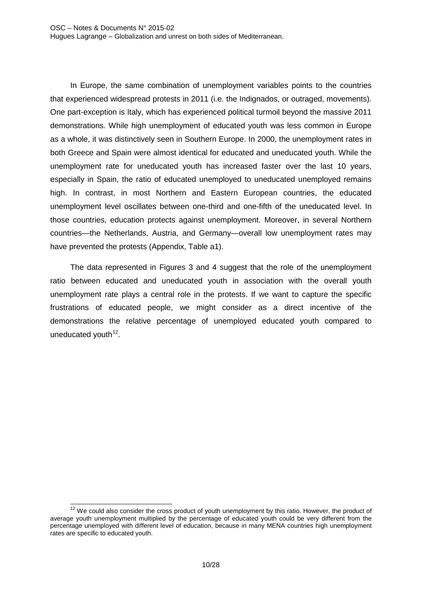In Europe, the same combination of unemployment variables points to the countries that experienced widespread protests in 2011 (i.e. the Indignados, or outraged, movements). One part-exception is Italy, which has experienced political turmoil beyond the massive 2011 demonstrations. While high unemployment of educated youth was less common in Europe as a whole, it was distinctively seen in Southern Europe. In 2000, the unemployment rates in both Greece and Spain were almost identical for educated and uneducated youth. While the unemployment rate for uneducated youth has increased faster over the last 10 years, especially in Spain, the ratio of educated unemployed to uneducated unemployed remains high. In contrast, in most Northern and Eastern European countries, the educated unemployment level oscillates between one-third and one-fifth of the uneducated level. In those countries, education protects against unemployment. Moreover, in several Northern countries—the Netherlands, Austria, and Germany—overall low unemployment rates may have prevented the protests (Appendix, Table a1).

The data represented in Figures 3 and 4 suggest that the role of the unemployment ratio between educated and uneducated youth in association with the overall youth unemployment rate plays a central role in the protests. If we want to capture the specific frustrations of educated people, we might consider as a direct incentive of the demonstrations the relative percentage of unemployed educated youth compared to uneducated youth $12$ .

<span id="page-11-0"></span> $12$  We could also consider the cross product of youth unemployment by this ratio. However, the product of average youth unemployment multiplied by the percentage of educated youth could be very different from the percentage unemployed with different level of education, because in many MENA countries high unemployment rates are specific to educated youth. 1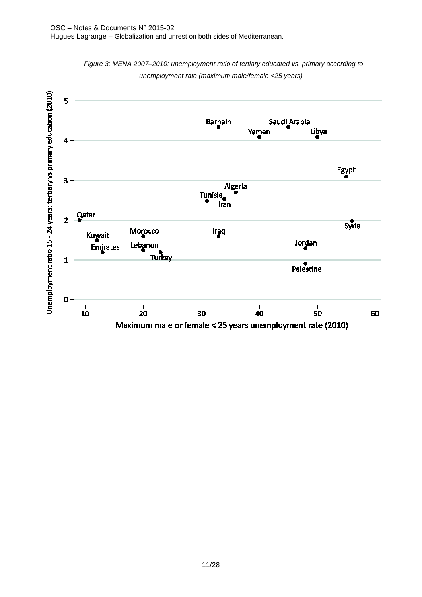

*Figure 3: MENA 2007–2010: unemployment ratio of tertiary educated vs. primary according to unemployment rate (maximum male/female <25 years)*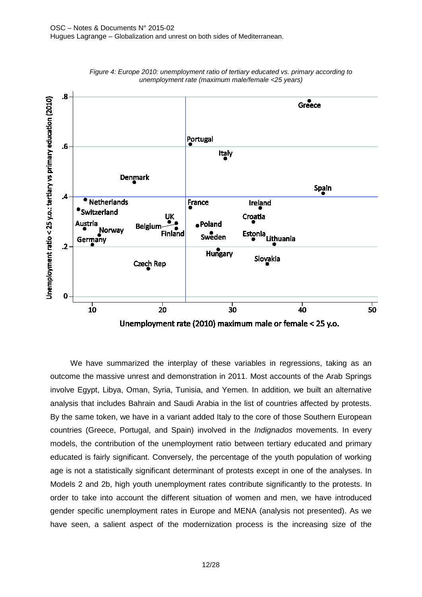



We have summarized the interplay of these variables in regressions, taking as an outcome the massive unrest and demonstration in 2011. Most accounts of the Arab Springs involve Egypt, Libya, Oman, Syria, Tunisia, and Yemen. In addition, we built an alternative analysis that includes Bahrain and Saudi Arabia in the list of countries affected by protests. By the same token, we have in a variant added Italy to the core of those Southern European countries (Greece, Portugal, and Spain) involved in the *Indignados* movements. In every models, the contribution of the unemployment ratio between tertiary educated and primary educated is fairly significant. Conversely, the percentage of the youth population of working age is not a statistically significant determinant of protests except in one of the analyses. In Models 2 and 2b, high youth unemployment rates contribute significantly to the protests. In order to take into account the different situation of women and men, we have introduced gender specific unemployment rates in Europe and MENA (analysis not presented). As we have seen, a salient aspect of the modernization process is the increasing size of the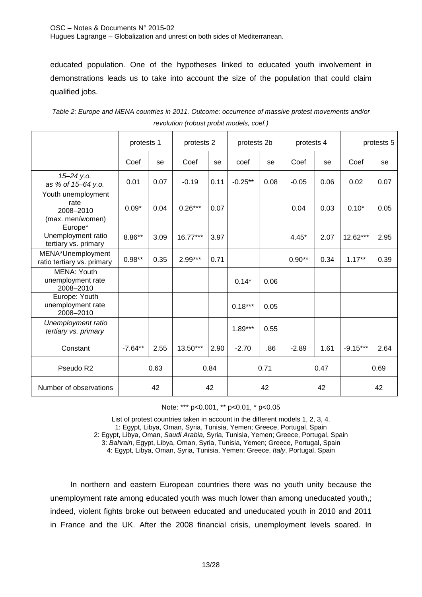educated population. One of the hypotheses linked to educated youth involvement in demonstrations leads us to take into account the size of the population that could claim qualified jobs.

|                                                             | protests 1 |      | protests 2 |      | protests 2b |      | protests 4 |      |            | protests 5 |
|-------------------------------------------------------------|------------|------|------------|------|-------------|------|------------|------|------------|------------|
|                                                             | Coef       | se   | Coef       | se   | coef        | se   | Coef       | se   | Coef       | se         |
| 15-24 y.o.<br>as % of 15-64 y.o.                            | 0.01       | 0.07 | $-0.19$    | 0.11 | $-0.25**$   | 0.08 | $-0.05$    | 0.06 | 0.02       | 0.07       |
| Youth unemployment<br>rate<br>2008-2010<br>(max. men/women) | $0.09*$    | 0.04 | $0.26***$  | 0.07 |             |      | 0.04       | 0.03 | $0.10*$    | 0.05       |
| Europe*<br>Unemployment ratio<br>tertiary vs. primary       | 8.86**     | 3.09 | $16.77***$ | 3.97 |             |      | $4.45*$    | 2.07 | 12.62***   | 2.95       |
| MENA*Unemployment<br>ratio tertiary vs. primary             | $0.98**$   | 0.35 | $2.99***$  | 0.71 |             |      | $0.90**$   | 0.34 | $1.17***$  | 0.39       |
| MENA: Youth<br>unemployment rate<br>2008-2010               |            |      |            |      | $0.14*$     | 0.06 |            |      |            |            |
| Europe: Youth<br>unemployment rate<br>2008-2010             |            |      |            |      | $0.18***$   | 0.05 |            |      |            |            |
| Unemployment ratio<br>tertiary vs. primary                  |            |      |            |      | $1.89***$   | 0.55 |            |      |            |            |
| Constant                                                    | $-7.64**$  | 2.55 | $13.50***$ | 2.90 | $-2.70$     | .86  | $-2.89$    | 1.61 | $-9.15***$ | 2.64       |
| Pseudo R2                                                   |            | 0.63 |            | 0.84 |             | 0.71 |            | 0.47 |            | 0.69       |
| Number of observations                                      |            | 42   |            | 42   |             | 42   |            | 42   |            | 42         |

*Table 2: Europe and MENA countries in 2011. Outcome: occurrence of massive protest movements and/or revolution (robust probit models, coef.)*

Note: \*\*\* p<0.001, \*\* p<0.01, \* p<0.05

List of protest countries taken in account in the different models 1, 2, 3, 4. 1: Egypt, Libya, Oman, Syria, Tunisia, Yemen; Greece, Portugal, Spain 2: Egypt, Libya, Oman, *Saudi Arabia*, Syria, Tunisia, Yemen; Greece, Portugal, Spain 3: *Bahrain*, Egypt, Libya, Oman, Syria, Tunisia, Yemen; Greece, Portugal, Spain 4: Egypt, Libya, Oman, Syria, Tunisia, Yemen; Greece, *Italy*, Portugal, Spain

In northern and eastern European countries there was no youth unity because the unemployment rate among educated youth was much lower than among uneducated youth,; indeed, violent fights broke out between educated and uneducated youth in 2010 and 2011 in France and the UK. After the 2008 financial crisis, unemployment levels soared. In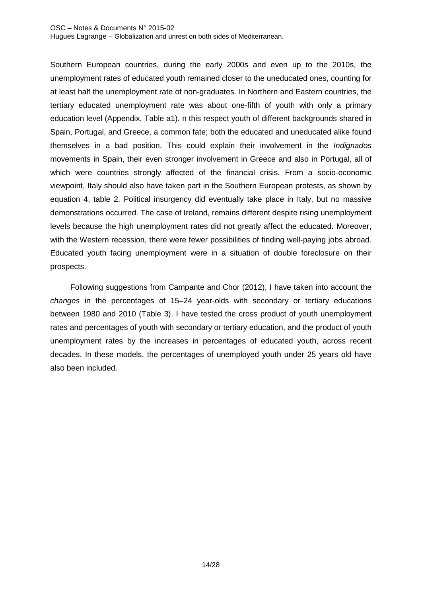#### OSC – Notes & Documents N° 2015-02 Hugues Lagrange – Globalization and unrest on both sides of Mediterranean.

Southern European countries, during the early 2000s and even up to the 2010s, the unemployment rates of educated youth remained closer to the uneducated ones, counting for at least half the unemployment rate of non-graduates. In Northern and Eastern countries, the tertiary educated unemployment rate was about one-fifth of youth with only a primary education level (Appendix, Table a1). n this respect youth of different backgrounds shared in Spain, Portugal, and Greece, a common fate; both the educated and uneducated alike found themselves in a bad position. This could explain their involvement in the *Indignados*  movements in Spain, their even stronger involvement in Greece and also in Portugal, all of which were countries strongly affected of the financial crisis. From a socio-economic viewpoint, Italy should also have taken part in the Southern European protests, as shown by equation 4, table 2. Political insurgency did eventually take place in Italy, but no massive demonstrations occurred. The case of Ireland, remains different despite rising unemployment levels because the high unemployment rates did not greatly affect the educated. Moreover, with the Western recession, there were fewer possibilities of finding well-paying jobs abroad. Educated youth facing unemployment were in a situation of double foreclosure on their prospects.

Following suggestions from Campante and Chor (2012), I have taken into account the *changes* in the percentages of 15–24 year-olds with secondary or tertiary educations between 1980 and 2010 (Table 3). I have tested the cross product of youth unemployment rates and percentages of youth with secondary or tertiary education, and the product of youth unemployment rates by the increases in percentages of educated youth, across recent decades. In these models, the percentages of unemployed youth under 25 years old have also been included.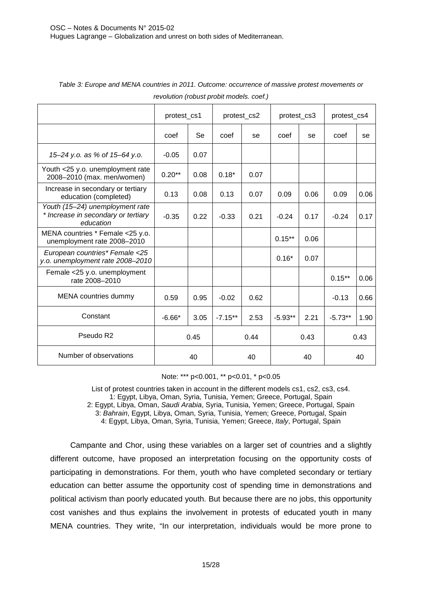|                                                                                     | protest_cs1<br>protest_cs2 |           | protest_cs3 |      | protest_cs4 |      |           |      |
|-------------------------------------------------------------------------------------|----------------------------|-----------|-------------|------|-------------|------|-----------|------|
|                                                                                     | coef                       | <b>Se</b> | coef        | se   | coef        | se   | coef      | se   |
| 15-24 y.o. as % of 15-64 y.o.                                                       | $-0.05$                    | 0.07      |             |      |             |      |           |      |
| Youth <25 y.o. unemployment rate<br>2008-2010 (max. men/women)                      | $0.20**$                   | 0.08      | $0.18*$     | 0.07 |             |      |           |      |
| Increase in secondary or tertiary<br>education (completed)                          | 0.13                       | 0.08      | 0.13        | 0.07 | 0.09        | 0.06 | 0.09      | 0.06 |
| Youth (15-24) unemployment rate<br>* Increase in secondary or tertiary<br>education | $-0.35$                    | 0.22      | $-0.33$     | 0.21 | $-0.24$     | 0.17 | $-0.24$   | 0.17 |
| MENA countries * Female <25 y.o.<br>unemployment rate 2008-2010                     |                            |           |             |      | $0.15***$   | 0.06 |           |      |
| European countries* Female <25<br>y.o. unemployment rate 2008-2010                  |                            |           |             |      | $0.16*$     | 0.07 |           |      |
| Female <25 y.o. unemployment<br>rate 2008-2010                                      |                            |           |             |      |             |      | $0.15***$ | 0.06 |
| <b>MENA</b> countries dummy                                                         | 0.59                       | 0.95      | $-0.02$     | 0.62 |             |      | $-0.13$   | 0.66 |
| Constant                                                                            | $-6.66*$                   | 3.05      | $-7.15**$   | 2.53 | $-5.93**$   | 2.21 | $-5.73**$ | 1.90 |
| Pseudo R <sub>2</sub>                                                               |                            | 0.45      |             | 0.44 |             | 0.43 |           | 0.43 |
| Number of observations                                                              |                            | 40        |             | 40   | 40          |      | 40        |      |

*Table 3: Europe and MENA countries in 2011. Outcome: occurrence of massive protest movements or revolution (robust probit models. coef.)*

#### Note: \*\*\* p<0.001, \*\* p<0.01, \* p<0.05

List of protest countries taken in account in the different models cs1, cs2, cs3, cs4. 1: Egypt, Libya, Oman, Syria, Tunisia, Yemen; Greece, Portugal, Spain 2: Egypt, Libya, Oman, *Saudi Arabia*, Syria, Tunisia, Yemen; Greece, Portugal, Spain 3: *Bahrain*, Egypt, Libya, Oman, Syria, Tunisia, Yemen; Greece, Portugal, Spain 4: Egypt, Libya, Oman, Syria, Tunisia, Yemen; Greece, *Italy*, Portugal, Spain

Campante and Chor, using these variables on a larger set of countries and a slightly different outcome, have proposed an interpretation focusing on the opportunity costs of participating in demonstrations. For them, youth who have completed secondary or tertiary education can better assume the opportunity cost of spending time in demonstrations and political activism than poorly educated youth. But because there are no jobs, this opportunity cost vanishes and thus explains the involvement in protests of educated youth in many MENA countries. They write, "In our interpretation, individuals would be more prone to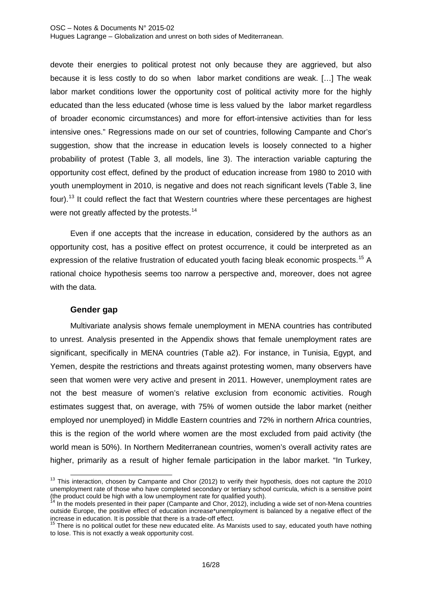devote their energies to political protest not only because they are aggrieved, but also because it is less costly to do so when labor market conditions are weak. […] The weak labor market conditions lower the opportunity cost of political activity more for the highly educated than the less educated (whose time is less valued by the labor market regardless of broader economic circumstances) and more for effort-intensive activities than for less intensive ones." Regressions made on our set of countries, following Campante and Chor's suggestion, show that the increase in education levels is loosely connected to a higher probability of protest (Table 3, all models, line 3). The interaction variable capturing the opportunity cost effect, defined by the product of education increase from 1980 to 2010 with youth unemployment in 2010, is negative and does not reach significant levels (Table 3, line four).<sup>[13](#page-17-0)</sup> It could reflect the fact that Western countries where these percentages are highest were not greatly affected by the protests.<sup>[14](#page-17-1)</sup>

Even if one accepts that the increase in education, considered by the authors as an opportunity cost, has a positive effect on protest occurrence, it could be interpreted as an expression of the relative frustration of educated youth facing bleak economic prospects.<sup>[15](#page-17-2)</sup> A rational choice hypothesis seems too narrow a perspective and, moreover, does not agree with the data.

# **Gender gap**

Multivariate analysis shows female unemployment in MENA countries has contributed to unrest. Analysis presented in the Appendix shows that female unemployment rates are significant, specifically in MENA countries (Table a2). For instance, in Tunisia, Egypt, and Yemen, despite the restrictions and threats against protesting women, many observers have seen that women were very active and present in 2011. However, unemployment rates are not the best measure of women's relative exclusion from economic activities. Rough estimates suggest that, on average, with 75% of women outside the labor market (neither employed nor unemployed) in Middle Eastern countries and 72% in northern Africa countries, this is the region of the world where women are the most excluded from paid activity (the world mean is 50%). In Northern Mediterranean countries, women's overall activity rates are higher, primarily as a result of higher female participation in the labor market. "In Turkey,

<span id="page-17-0"></span> $13$  This interaction, chosen by Campante and Chor (2012) to verify their hypothesis, does not capture the 2010 unemployment rate of those who have completed secondary or tertiary school curricula, which is a sensitive point (the product could be high with a low unemployment rate for qualified youth).<br><sup>14</sup> In the models presented in their paper (Campante and Chor, 2012), including a wide set of non-Mena countries 1

<span id="page-17-1"></span>outside Europe, the positive effect of education increase\*unemployment is balanced by a negative effect of the increase in education. It is possible that there is a trade-off effect.

<span id="page-17-2"></span> $15$  There is no political outlet for these new educated elite. As Marxists used to say, educated youth have nothing to lose. This is not exactly a weak opportunity cost.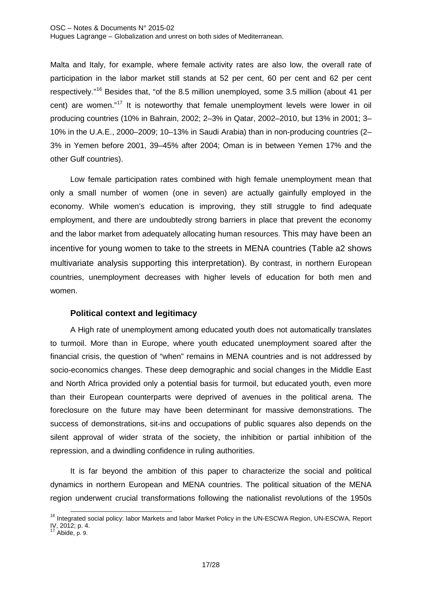Hugues Lagrange – Globalization and unrest on both sides of Mediterranean.

Malta and Italy, for example, where female activity rates are also low, the overall rate of participation in the labor market still stands at 52 per cent, 60 per cent and 62 per cent respectively."[16](#page-18-0) Besides that, "of the 8.5 million unemployed, some 3.5 million (about 41 per cent) are women."<sup>[17](#page-18-1)</sup> It is noteworthy that female unemployment levels were lower in oil producing countries (10% in Bahrain, 2002; 2–3% in Qatar, 2002–2010, but 13% in 2001; 3– 10% in the U.A.E., 2000–2009; 10–13% in Saudi Arabia) than in non-producing countries (2– 3% in Yemen before 2001, 39–45% after 2004; Oman is in between Yemen 17% and the other Gulf countries).

Low female participation rates combined with high female unemployment mean that only a small number of women (one in seven) are actually gainfully employed in the economy. While women's education is improving, they still struggle to find adequate employment, and there are undoubtedly strong barriers in place that prevent the economy and the labor market from adequately allocating human resources. This may have been an incentive for young women to take to the streets in MENA countries (Table a2 shows multivariate analysis supporting this interpretation). By contrast, in northern European countries, unemployment decreases with higher levels of education for both men and women.

## **Political context and legitimacy**

A High rate of unemployment among educated youth does not automatically translates to turmoil. More than in Europe, where youth educated unemployment soared after the financial crisis, the question of "when" remains in MENA countries and is not addressed by socio-economics changes. These deep demographic and social changes in the Middle East and North Africa provided only a potential basis for turmoil, but educated youth, even more than their European counterparts were deprived of avenues in the political arena. The foreclosure on the future may have been determinant for massive demonstrations. The success of demonstrations, sit-ins and occupations of public squares also depends on the silent approval of wider strata of the society, the inhibition or partial inhibition of the repression, and a dwindling confidence in ruling authorities.

It is far beyond the ambition of this paper to characterize the social and political dynamics in northern European and MENA countries. The political situation of the MENA region underwent crucial transformations following the nationalist revolutions of the 1950s

<span id="page-18-0"></span><sup>&</sup>lt;sup>16</sup> Integrated social policy: labor Markets and labor Market Policy in the UN-ESCWA Region, UN-ESCWA, Report IV, 2012; p. 4.<br><sup>17</sup> Abide, p. 9. 1

<span id="page-18-1"></span>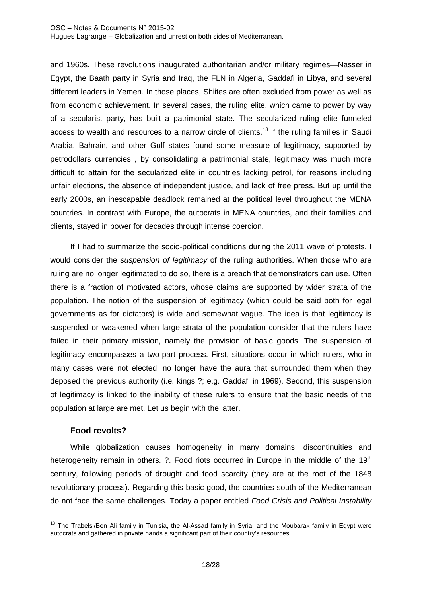and 1960s. These revolutions inaugurated authoritarian and/or military regimes—Nasser in Egypt, the Baath party in Syria and Iraq, the FLN in Algeria, Gaddafi in Libya, and several different leaders in Yemen. In those places, Shiites are often excluded from power as well as from economic achievement. In several cases, the ruling elite, which came to power by way of a secularist party, has built a patrimonial state. The secularized ruling elite funneled access to wealth and resources to a narrow circle of clients.<sup>[18](#page-19-0)</sup> If the ruling families in Saudi Arabia, Bahrain, and other Gulf states found some measure of legitimacy, supported by petrodollars currencies , by consolidating a patrimonial state, legitimacy was much more difficult to attain for the secularized elite in countries lacking petrol, for reasons including unfair elections, the absence of independent justice, and lack of free press. But up until the early 2000s, an inescapable deadlock remained at the political level throughout the MENA countries. In contrast with Europe, the autocrats in MENA countries, and their families and clients, stayed in power for decades through intense coercion.

If I had to summarize the socio-political conditions during the 2011 wave of protests, I would consider the *suspension of legitimacy* of the ruling authorities. When those who are ruling are no longer legitimated to do so, there is a breach that demonstrators can use. Often there is a fraction of motivated actors, whose claims are supported by wider strata of the population. The notion of the suspension of legitimacy (which could be said both for legal governments as for dictators) is wide and somewhat vague. The idea is that legitimacy is suspended or weakened when large strata of the population consider that the rulers have failed in their primary mission, namely the provision of basic goods. The suspension of legitimacy encompasses a two-part process. First, situations occur in which rulers, who in many cases were not elected, no longer have the aura that surrounded them when they deposed the previous authority (i.e. kings ?; e.g. Gaddafi in 1969). Second, this suspension of legitimacy is linked to the inability of these rulers to ensure that the basic needs of the population at large are met. Let us begin with the latter.

# **Food revolts?**

While globalization causes homogeneity in many domains, discontinuities and heterogeneity remain in others.  $?$ . Food riots occurred in Europe in the middle of the 19<sup>th</sup> century, following periods of drought and food scarcity (they are at the root of the 1848 revolutionary process). Regarding this basic good, the countries south of the Mediterranean do not face the same challenges. Today a paper entitled *Food Crisis and Political Instability* 

<span id="page-19-0"></span><sup>&</sup>lt;sup>18</sup> The Trabelsi/Ben Ali family in Tunisia, the Al-Assad family in Syria, and the Moubarak family in Egypt were autocrats and gathered in private hands a significant part of their country's resources. 1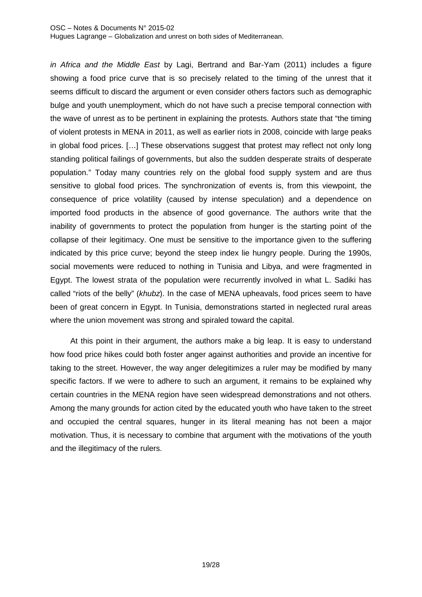#### OSC – Notes & Documents N° 2015-02

Hugues Lagrange – Globalization and unrest on both sides of Mediterranean.

*in Africa and the Middle East* by Lagi, Bertrand and Bar-Yam (2011) includes a figure showing a food price curve that is so precisely related to the timing of the unrest that it seems difficult to discard the argument or even consider others factors such as demographic bulge and youth unemployment, which do not have such a precise temporal connection with the wave of unrest as to be pertinent in explaining the protests. Authors state that "the timing of violent protests in MENA in 2011, as well as earlier riots in 2008, coincide with large peaks in global food prices. […] These observations suggest that protest may reflect not only long standing political failings of governments, but also the sudden desperate straits of desperate population." Today many countries rely on the global food supply system and are thus sensitive to global food prices. The synchronization of events is, from this viewpoint, the consequence of price volatility (caused by intense speculation) and a dependence on imported food products in the absence of good governance. The authors write that the inability of governments to protect the population from hunger is the starting point of the collapse of their legitimacy. One must be sensitive to the importance given to the suffering indicated by this price curve; beyond the steep index lie hungry people. During the 1990s, social movements were reduced to nothing in Tunisia and Libya, and were fragmented in Egypt. The lowest strata of the population were recurrently involved in what L. Sadiki has called "riots of the belly" (*khubz*). In the case of MENA upheavals, food prices seem to have been of great concern in Egypt. In Tunisia, demonstrations started in neglected rural areas where the union movement was strong and spiraled toward the capital.

At this point in their argument, the authors make a big leap. It is easy to understand how food price hikes could both foster anger against authorities and provide an incentive for taking to the street. However, the way anger delegitimizes a ruler may be modified by many specific factors. If we were to adhere to such an argument, it remains to be explained why certain countries in the MENA region have seen widespread demonstrations and not others. Among the many grounds for action cited by the educated youth who have taken to the street and occupied the central squares, hunger in its literal meaning has not been a major motivation. Thus, it is necessary to combine that argument with the motivations of the youth and the illegitimacy of the rulers.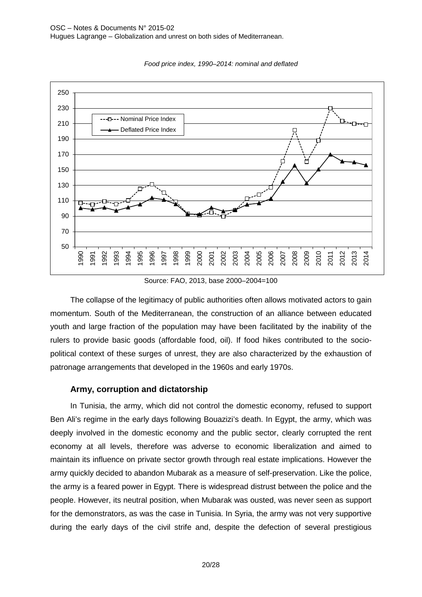

*Food price index, 1990–2014: nominal and deflated*

Source: FAO, 2013, base 2000–2004=100

The collapse of the legitimacy of public authorities often allows motivated actors to gain momentum. South of the Mediterranean, the construction of an alliance between educated youth and large fraction of the population may have been facilitated by the inability of the rulers to provide basic goods (affordable food, oil). If food hikes contributed to the sociopolitical context of these surges of unrest, they are also characterized by the exhaustion of patronage arrangements that developed in the 1960s and early 1970s.

## **Army, corruption and dictatorship**

In Tunisia, the army, which did not control the domestic economy, refused to support Ben Ali's regime in the early days following Bouazizi's death. In Egypt, the army, which was deeply involved in the domestic economy and the public sector, clearly corrupted the rent economy at all levels, therefore was adverse to economic liberalization and aimed to maintain its influence on private sector growth through real estate implications. However the army quickly decided to abandon Mubarak as a measure of self-preservation. Like the police, the army is a feared power in Egypt. There is widespread distrust between the police and the people. However, its neutral position, when Mubarak was ousted, was never seen as support for the demonstrators, as was the case in Tunisia. In Syria, the army was not very supportive during the early days of the civil strife and, despite the defection of several prestigious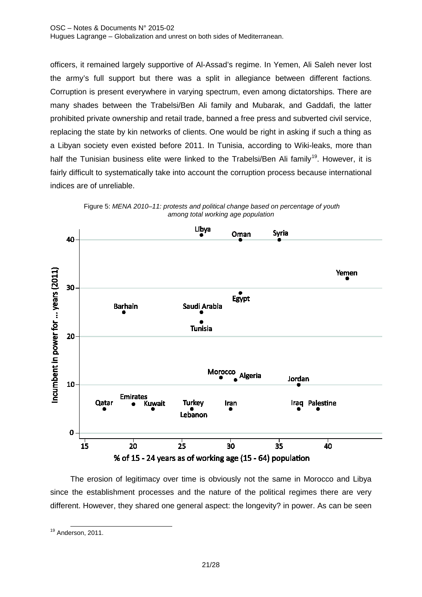officers, it remained largely supportive of Al-Assad's regime. In Yemen, Ali Saleh never lost the army's full support but there was a split in allegiance between different factions. Corruption is present everywhere in varying spectrum, even among dictatorships. There are many shades between the Trabelsi/Ben Ali family and Mubarak, and Gaddafi, the latter prohibited private ownership and retail trade, banned a free press and subverted civil service, replacing the state by kin networks of clients. One would be right in asking if such a thing as a Libyan society even existed before 2011. In Tunisia, according to Wiki-leaks, more than half the Tunisian business elite were linked to the Trabelsi/Ben Ali family<sup>[19](#page-22-0)</sup>. However, it is fairly difficult to systematically take into account the corruption process because international indices are of unreliable.



Figure 5: *MENA 2010–11: protests and political change based on percentage of youth among total working age population*

The erosion of legitimacy over time is obviously not the same in Morocco and Libya since the establishment processes and the nature of the political regimes there are very different. However, they shared one general aspect: the longevity? in power. As can be seen

<span id="page-22-0"></span><sup>&</sup>lt;sup>19</sup> Anderson, 2011. j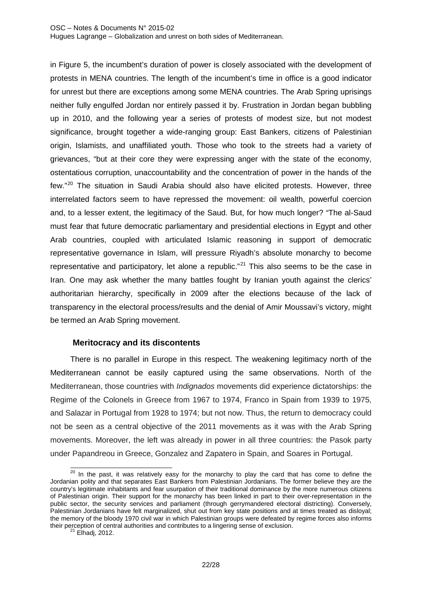in Figure 5, the incumbent's duration of power is closely associated with the development of protests in MENA countries. The length of the incumbent's time in office is a good indicator for unrest but there are exceptions among some MENA countries. The Arab Spring uprisings neither fully engulfed Jordan nor entirely passed it by. Frustration in Jordan began bubbling up in 2010, and the following year a series of protests of modest size, but not modest significance, brought together a wide-ranging group: East Bankers, citizens of Palestinian origin, Islamists, and unaffiliated youth. Those who took to the streets had a variety of grievances, "but at their core they were expressing anger with the state of the economy, ostentatious corruption, unaccountability and the concentration of power in the hands of the few."[20](#page-23-0) The situation in Saudi Arabia should also have elicited protests. However, three interrelated factors seem to have repressed the movement: oil wealth, powerful coercion and, to a lesser extent, the legitimacy of the Saud. But, for how much longer? "The al-Saud must fear that future democratic parliamentary and presidential elections in Egypt and other Arab countries, coupled with articulated Islamic reasoning in support of democratic representative governance in Islam, will pressure Riyadh's absolute monarchy to become representative and participatory, let alone a republic."<sup>[21](#page-23-1)</sup> This also seems to be the case in Iran. One may ask whether the many battles fought by Iranian youth against the clerics' authoritarian hierarchy, specifically in 2009 after the elections because of the lack of transparency in the electoral process/results and the denial of Amir Moussavi's victory, might be termed an Arab Spring movement.

# **Meritocracy and its discontents**

There is no parallel in Europe in this respect. The weakening legitimacy north of the Mediterranean cannot be easily captured using the same observations. North of the Mediterranean, those countries with *Indignados* movements did experience dictatorships: the Regime of the Colonels in Greece from 1967 to 1974, Franco in Spain from 1939 to 1975, and Salazar in Portugal from 1928 to 1974; but not now. Thus, the return to democracy could not be seen as a central objective of the 2011 movements as it was with the Arab Spring movements. Moreover, the left was already in power in all three countries: the Pasok party under Papandreou in Greece, Gonzalez and Zapatero in Spain, and Soares in Portugal.

<span id="page-23-0"></span> $20$  In the past, it was relatively easy for the monarchy to play the card that has come to define the Jordanian polity and that separates East Bankers from Palestinian Jordanians. The former believe they are the country's legitimate inhabitants and fear usurpation of their traditional dominance by the more numerous citizens of Palestinian origin. Their support for the monarchy has been linked in part to their over-representation in the public sector, the security services and parliament (through gerrymandered electoral districting). Conversely, Palestinian Jordanians have felt marginalized, shut out from key state positions and at times treated as disloyal; the memory of the bloody 1970 civil war in which Palestinian groups were defeated by regime forces also informs their perception of central authorities and contributes to a lingering sense of exclusion.<br><sup>21</sup> Elhadi, 2012.  $\overline{a}$ 

<span id="page-23-1"></span>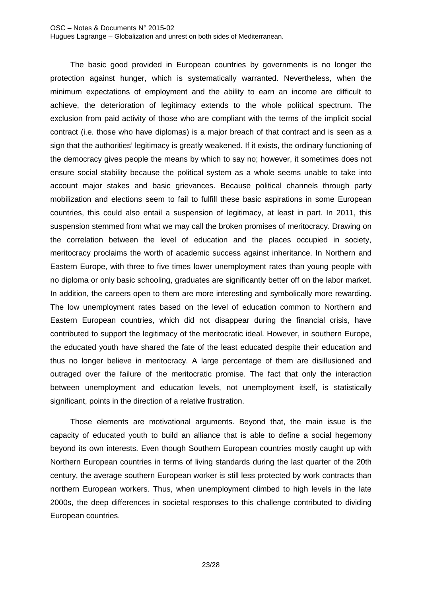#### OSC – Notes & Documents N° 2015-02 Hugues Lagrange – Globalization and unrest on both sides of Mediterranean.

The basic good provided in European countries by governments is no longer the protection against hunger, which is systematically warranted. Nevertheless, when the minimum expectations of employment and the ability to earn an income are difficult to achieve, the deterioration of legitimacy extends to the whole political spectrum. The exclusion from paid activity of those who are compliant with the terms of the implicit social contract (i.e. those who have diplomas) is a major breach of that contract and is seen as a sign that the authorities' legitimacy is greatly weakened. If it exists, the ordinary functioning of the democracy gives people the means by which to say no; however, it sometimes does not ensure social stability because the political system as a whole seems unable to take into account major stakes and basic grievances. Because political channels through party mobilization and elections seem to fail to fulfill these basic aspirations in some European countries, this could also entail a suspension of legitimacy, at least in part. In 2011, this suspension stemmed from what we may call the broken promises of meritocracy. Drawing on the correlation between the level of education and the places occupied in society, meritocracy proclaims the worth of academic success against inheritance. In Northern and Eastern Europe, with three to five times lower unemployment rates than young people with no diploma or only basic schooling, graduates are significantly better off on the labor market. In addition, the careers open to them are more interesting and symbolically more rewarding. The low unemployment rates based on the level of education common to Northern and Eastern European countries, which did not disappear during the financial crisis, have contributed to support the legitimacy of the meritocratic ideal. However, in southern Europe, the educated youth have shared the fate of the least educated despite their education and thus no longer believe in meritocracy. A large percentage of them are disillusioned and outraged over the failure of the meritocratic promise. The fact that only the interaction between unemployment and education levels, not unemployment itself, is statistically significant, points in the direction of a relative frustration.

Those elements are motivational arguments. Beyond that, the main issue is the capacity of educated youth to build an alliance that is able to define a social hegemony beyond its own interests. Even though Southern European countries mostly caught up with Northern European countries in terms of living standards during the last quarter of the 20th century, the average southern European worker is still less protected by work contracts than northern European workers. Thus, when unemployment climbed to high levels in the late 2000s, the deep differences in societal responses to this challenge contributed to dividing European countries.

23/28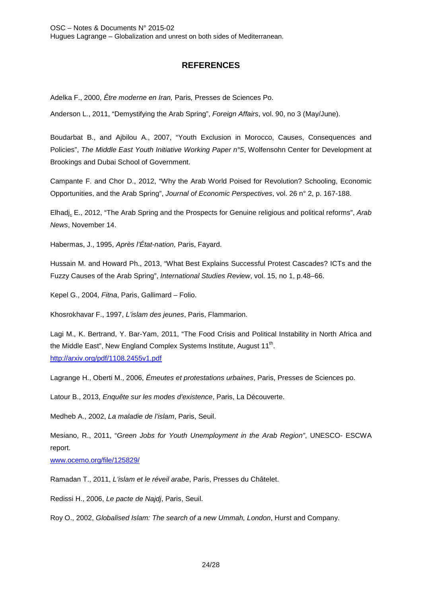# **REFERENCES**

Adelka F., 2000, *Être moderne en Iran,* Paris*,* Presses de Sciences Po.

Anderson L., 2011, "Demystifying the Arab Spring", *Foreign Affairs*, vol. 90, no 3 (May/June).

Boudarbat B., and Ajbilou A., 2007, "Youth Exclusion in Morocco, Causes, Consequences and Policies", *The Middle East Youth Initiative Working Paper n°5*, Wolfensohn Center for Development at Brookings and Dubai School of Government.

Campante F. and Chor D., 2012, "Why the Arab World Poised for Revolution? Schooling, Economic Opportunities, and the Arab Spring", *Journal of Economic Perspectives*, vol. 26 n° 2, p. 167-188.

Elhadj, E., 2012, "The Arab Spring and the Prospects for Genuine religious and political reforms", *Arab News*, November 14.

Habermas, J., 1995, *Après l'État-nation*, Paris, Fayard.

Hussain M. and Howard Ph., 2013, "What Best Explains Successful Protest Cascades? ICTs and the Fuzzy Causes of the Arab Spring", *International Studies Review*, vol. 15, no 1, p.48–66.

Kepel G., 2004, *Fitna*, Paris, Gallimard – Folio.

Khosrokhavar F., 1997, *L'islam des jeunes*, Paris, Flammarion.

Lagi M., K. Bertrand, Y. Bar-Yam, 2011, "The Food Crisis and Political Instability in North Africa and the Middle East", New England Complex Systems Institute, August 11<sup>th</sup>. <http://arxiv.org/pdf/1108.2455v1.pdf>

Lagrange H., Oberti M., 2006, *Émeutes et protestations urbaines*, Paris, Presses de Sciences po.

Latour B., 2013, *Enquête sur les modes d'existence*, Paris, La Découverte.

Medheb A., 2002, *La maladie de l'islam*, Paris, Seuil.

Mesiano, R., 2011, "*Green Jobs for Youth Unemployment in the Arab Region"*, UNESCO- ESCWA report.

[www.ocemo.org/file/125829/](http://www.ocemo.org/file/125829/)

Ramadan T., 2011, *L'islam et le réveil arabe*, Paris, Presses du Châtelet.

Redissi H., 2006, *Le pacte de Najdj*, Paris, Seuil.

Roy O., 2002, *Globalised Islam: The search of a new Ummah, London*, Hurst and Company.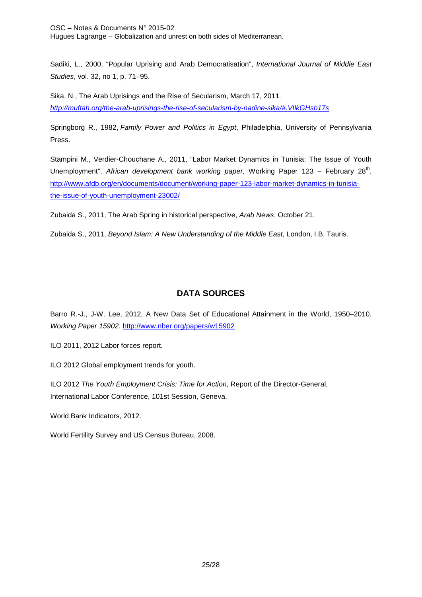OSC – Notes & Documents N° 2015-02 Hugues Lagrange – Globalization and unrest on both sides of Mediterranean.

Sadiki, L., 2000, "Popular Uprising and Arab Democratisation", *International Journal of Middle East Studies*, vol. 32, no 1, p. 71–95.

Sika, N., The Arab Uprisings and the Rise of Secularism, March 17, 2011*. [http://muftah.org/the-arab-uprisings-the-rise-of-secularism-by-nadine-sika/#.VIlkGHsb17s](http://muftah.org/the-arab-uprisings-the-rise-of-secularism-by-nadine-sika/%23.VIlkGHsb17s)*

Springborg R., 1982, *Family Power and Politics in Egypt*, Philadelphia, University of Pennsylvania Press.

Stampini M., Verdier-Chouchane A., 2011, "Labor Market Dynamics in Tunisia: The Issue of Youth Unemployment", African development bank working paper, Working Paper 123 – February 28<sup>th</sup>. [http://www.afdb.org/en/documents/document/working-paper-123-labor-market-dynamics-in-tunisia](http://www.afdb.org/en/documents/document/working-paper-123-labor-market-dynamics-in-tunisia-the-issue-of-youth-unemployment-23002/)[the-issue-of-youth-unemployment-23002/](http://www.afdb.org/en/documents/document/working-paper-123-labor-market-dynamics-in-tunisia-the-issue-of-youth-unemployment-23002/)

Zubaida S., 2011, The Arab Spring in historical perspective, *Arab News*, October 21.

Zubaida S., 2011, *Beyond Islam: A New Understanding of the Middle East*, London, I.B. Tauris.

# **DATA SOURCES**

Barro R.-J., J-W. Lee, 2012, A New Data Set of Educational Attainment in the World, 1950–2010. *Working Paper 15902*.<http://www.nber.org/papers/w15902>

ILO 2011, 2012 Labor forces report.

ILO 2012 Global employment trends for youth.

ILO 2012 *The Youth Employment Crisis: Time for Action*, Report of the Director-General, International Labor Conference, 101st Session, Geneva.

World Bank Indicators, 2012.

World Fertility Survey and US Census Bureau, 2008.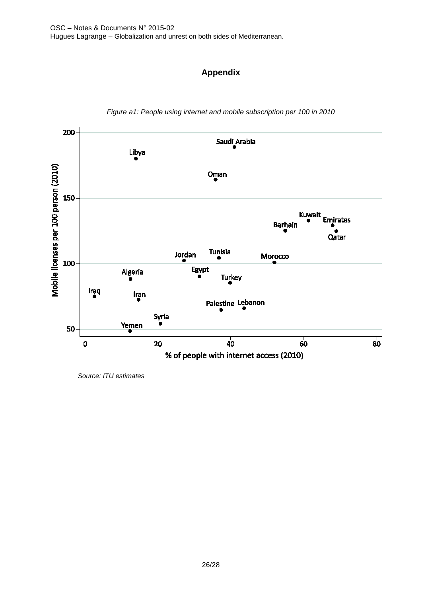# **Appendix**



*Figure a1: People using internet and mobile subscription per 100 in 2010*

 *Source: ITU estimates*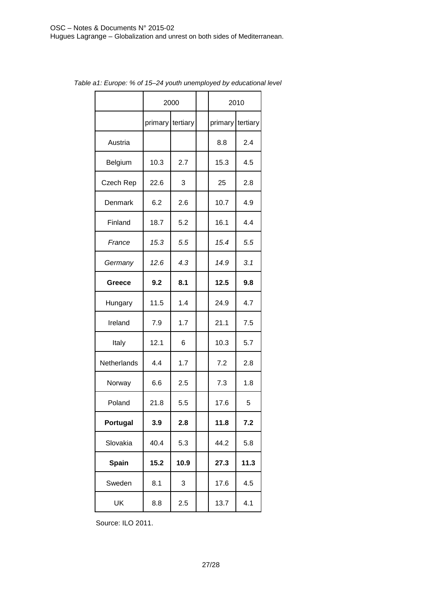|              |                  | 2000 | 2010    |          |  |
|--------------|------------------|------|---------|----------|--|
|              | primary tertiary |      | primary | tertiary |  |
| Austria      |                  |      | 8.8     | 2.4      |  |
| Belgium      | 10.3             | 2.7  | 15.3    | 4.5      |  |
| Czech Rep    | 22.6             | 3    | 25      | 2.8      |  |
| Denmark      | 6.2              | 2.6  | 10.7    | 4.9      |  |
| Finland      | 18.7             | 5.2  | 16.1    | 4.4      |  |
| France       | 15.3             | 5.5  | 15.4    | 5.5      |  |
| Germany      | 12.6             | 4.3  | 14.9    | 3.1      |  |
| Greece       | 9.2              | 8.1  | 12.5    | 9.8      |  |
| Hungary      | 11.5             | 1.4  | 24.9    | 4.7      |  |
| Ireland      | 7.9              | 1.7  | 21.1    | 7.5      |  |
| Italy        | 12.1             | 6    | 10.3    | 5.7      |  |
| Netherlands  | 4.4              | 1.7  | 7.2     | 2.8      |  |
| Norway       | 6.6              | 2.5  | 7.3     | 1.8      |  |
| Poland       | 21.8             | 5.5  | 17.6    | 5        |  |
| Portugal     | 3.9              | 2.8  | 11.8    | 7.2      |  |
| Slovakia     | 40.4             | 5.3  | 44.2    | 5.8      |  |
| <b>Spain</b> | 15.2             | 10.9 | 27.3    | 11.3     |  |
| Sweden       | 8.1              | 3    | 17.6    | 4.5      |  |
| UK           | 8.8              | 2.5  | 13.7    | 4.1      |  |

*Table a1: Europe: % of 15–24 youth unemployed by educational level*

Source: ILO 2011.